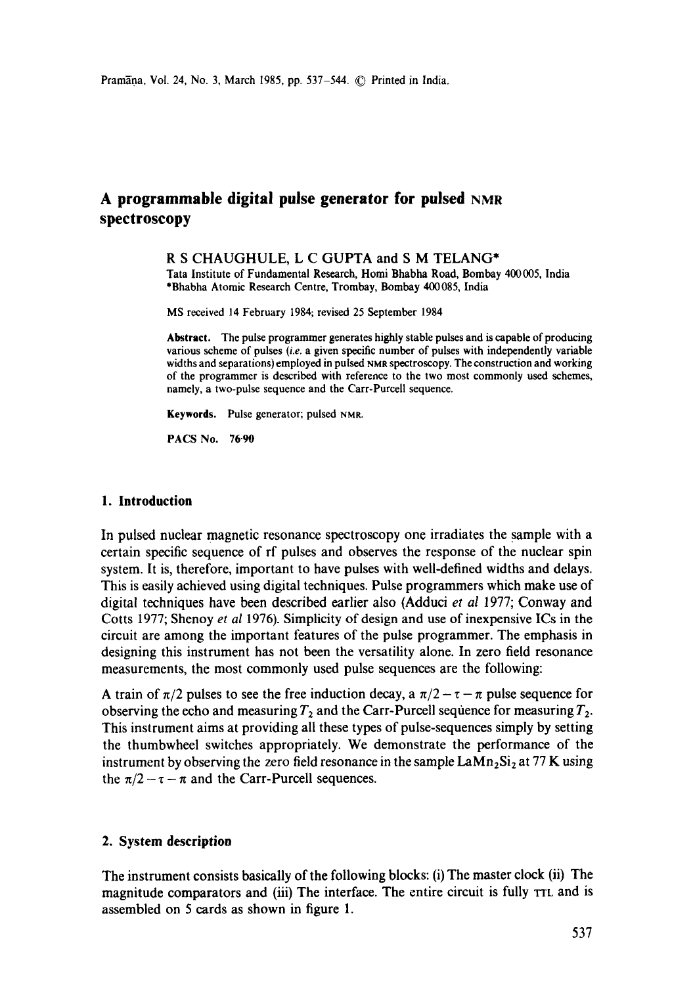# A programmable digital pulse generator for pulsed NMR **spectroscopy**

#### R S CHAUGHULE, L C GUPTA and S M TELANG\*

Tata Institute of Fundamental Research, Homi Bhabha Road, Bombay 400005, India \*Bhabha Atomic Research Centre, Trombay, Bombay 400085, India

MS received 14 February 1984; revised 25 September 1984

**Abstract.** The pulse programmer generates highly stable pulses and is capable of producing various scheme of pulses *(i.e.* a given specific number of pulses with independently variable widths and separations) employed in pulsed NMR spectroscopy. The construction and working of the programmer is described with reference to the two most commonly used schemes, namely, a two-pulse sequence and the Carr-Purcell sequence.

Keywords. Pulse generator; pulsed NMR.

**PACS No. 76-90** 

#### **1. Introduction**

In pulsed nuclear magnetic resonance spectroscopy one irradiates the sample with a certain specific sequence of rf pulses and observes the response of the nuclear spin system. It is, therefore, important to have pulses with well-defined widths and delays. This is easily achieved using digital techniques. Pulse programmers which make use of digital techniques have been described earlier also (Adduci *et al* 1977; Conway and Cotts 1977; Shenoy *et al* 1976). Simplicity of design and use of inexpensive ICs in the circuit are among the important features of the pulse programmer. The emphasis in designing this instrument has not been the versatility alone. In zero field resonance measurements, the most commonly used pulse sequences are the following:

A train of  $\pi/2$  pulses to see the free induction decay, a  $\pi/2 - \tau - \pi$  pulse sequence for observing the echo and measuring  $T_2$  and the Carr-Purcell sequence for measuring  $T_2$ . This instrument aims at providing all these types of pulse-sequences simply by setting the thumbwheel switches appropriately. We demonstrate the performance of the instrument by observing the zero field resonance in the sample  $\text{LAM}_2\text{Si}_2$  at 77 K using the  $\pi/2 - \tau - \pi$  and the Carr-Purcell sequences.

#### **2. System description**

The instrument consists basically of the following blocks: (i) The master clock (ii) The magnitude comparators and (iii) The interface. The entire circuit is fully TTL and is assembled on 5 cards as shown in figure 1.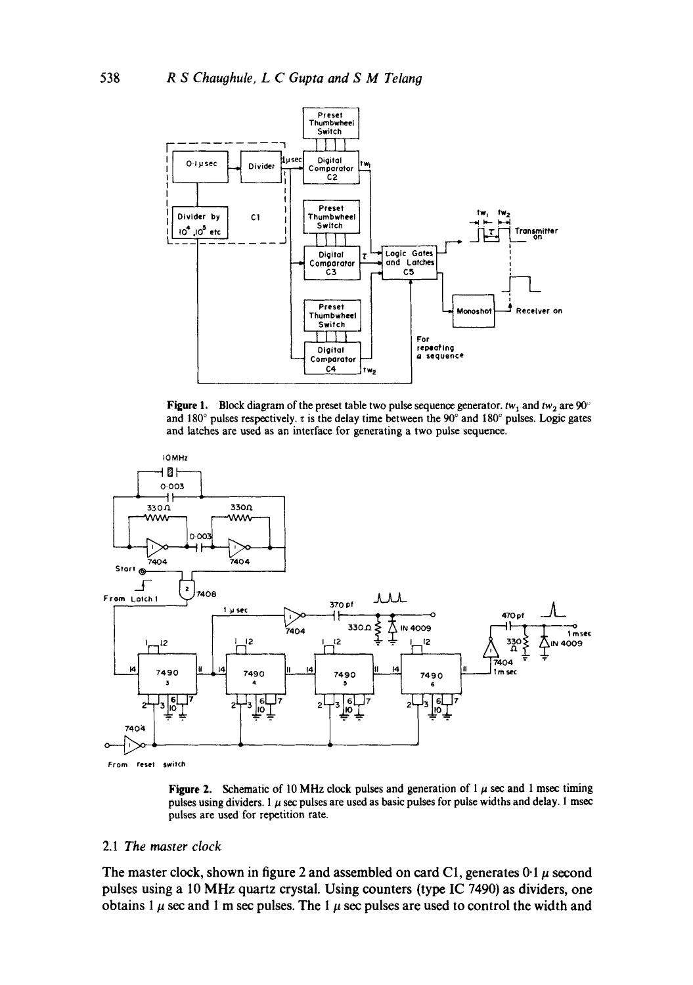

Figure 1. Block diagram of the preset table two pulse sequence generator.  $tw_1$  and  $tw_2$  are 90° and 180° pulses respectively.  $\tau$  is the delay time between the 90° and 180° pulses. Logic gates and latches are used as an interface for generating a two pulse sequence.



Figure 2. Schematic of 10 MHz clock pulses and generation of 1  $\mu$  sec and 1 msec timing pulses using dividers. 1  $\mu$  sec pulses are used as basic pulses for pulse widths and delay. 1 msec pulses are used for repetition rate.

# 2.1 The master clock

The master clock, shown in figure 2 and assembled on card C1, generates  $0.1 \mu$  second pulses using a 10 MHz quartz crystal. Using counters (type IC 7490) as dividers, one obtains 1  $\mu$  sec and 1 m sec pulses. The 1  $\mu$  sec pulses are used to control the width and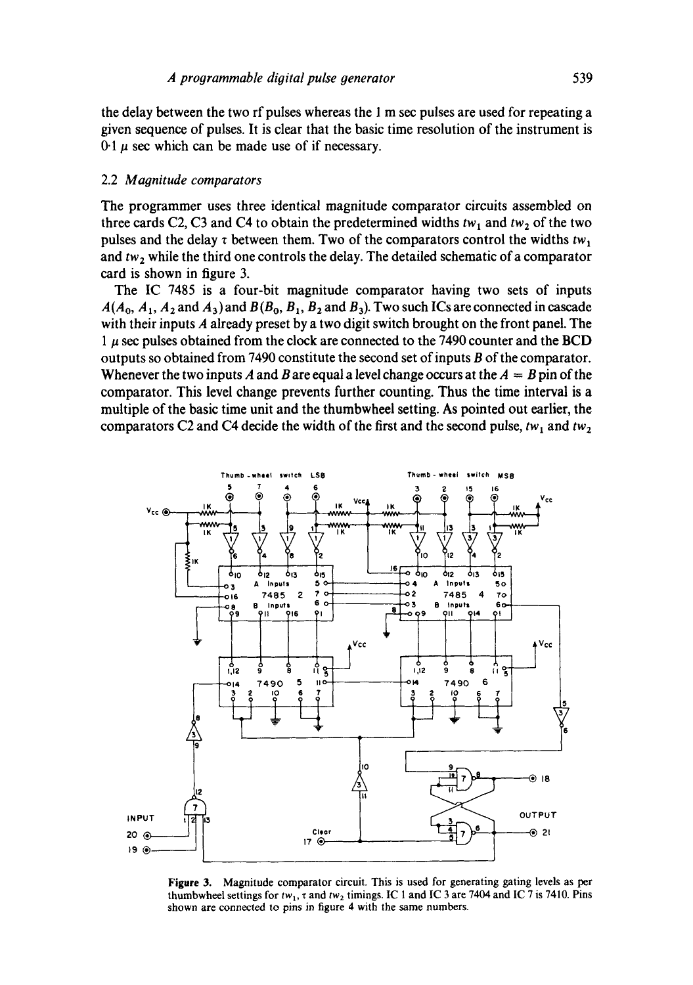the delay between the two rf pulses whereas the I m sec pulses are used for repeating a given sequence of pulses. It is clear that the basic time resolution of the instrument is  $0.1 \mu$  sec which can be made use of if necessary.

#### 2.2 *Magnitude comparators*

The programmer uses three identical magnitude comparator circuits assembled on three cards C2, C3 and C4 to obtain the predetermined widths  $tw_1$  and  $tw_2$  of the two pulses and the delay  $\tau$  between them. Two of the comparators control the widths  $tw_1$ and tw<sub>2</sub> while the third one controls the delay. The detailed schematic of a comparator card is shown in figure 3.

The IC 7485 is a four-bit magnitude comparator having two sets of inputs  $A(A_0, A_1, A_2 \text{ and } A_3)$  and  $B(B_0, B_1, B_2 \text{ and } B_3)$ . Two such ICs are connected in cascade with their inputs A already preset by a two digit switch brought on the front panel. The  $1 \mu$  sec pulses obtained from the clock are connected to the 7490 counter and the BCD outputs so obtained from 7490 constitute the second set of inputs B of the comparator. Whenever the two inputs A and B are equal a level change occurs at the  $A = B$  pin of the comparator. This level change prevents further counting. Thus the time interval is a multiple of the basic time unit and the thumbwheel setting. As pointed out earlier, the comparators C2 and C4 decide the width of the first and the second pulse,  $tw_1$  and  $tw_2$ 



**Figure** 3. Magnitude comparator circuit. This is used for generating gating levels as per thumbwheel settings for  $tw_1$ ,  $\tau$  and  $tw_2$  timings. IC 1 and IC 3 are 7404 and IC 7 is 7410. Pins shown are connected to pins in figure 4 with the same numbers.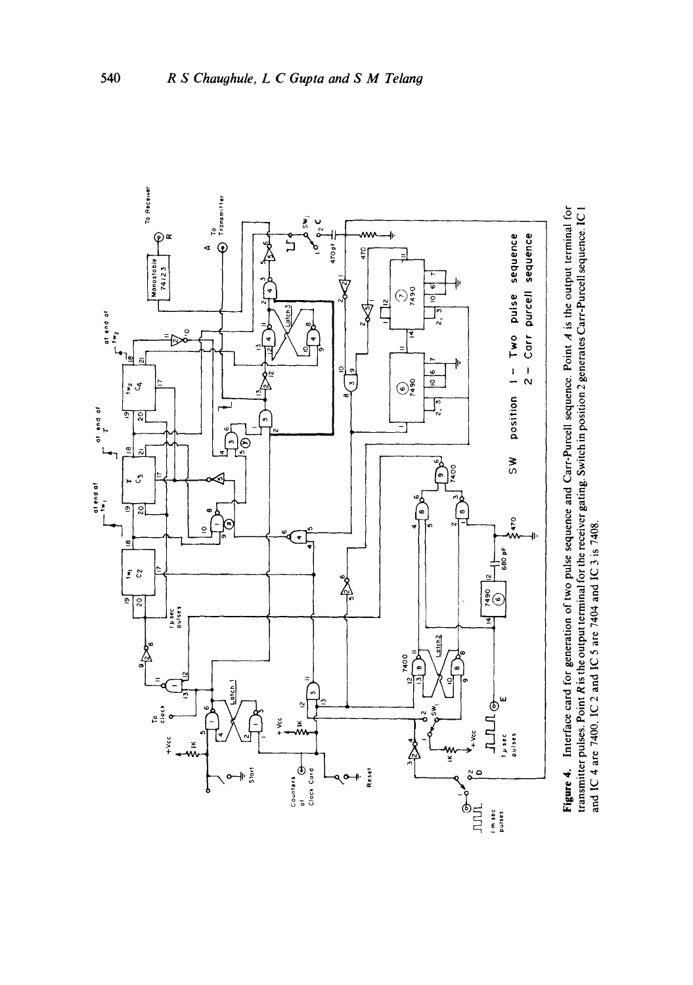

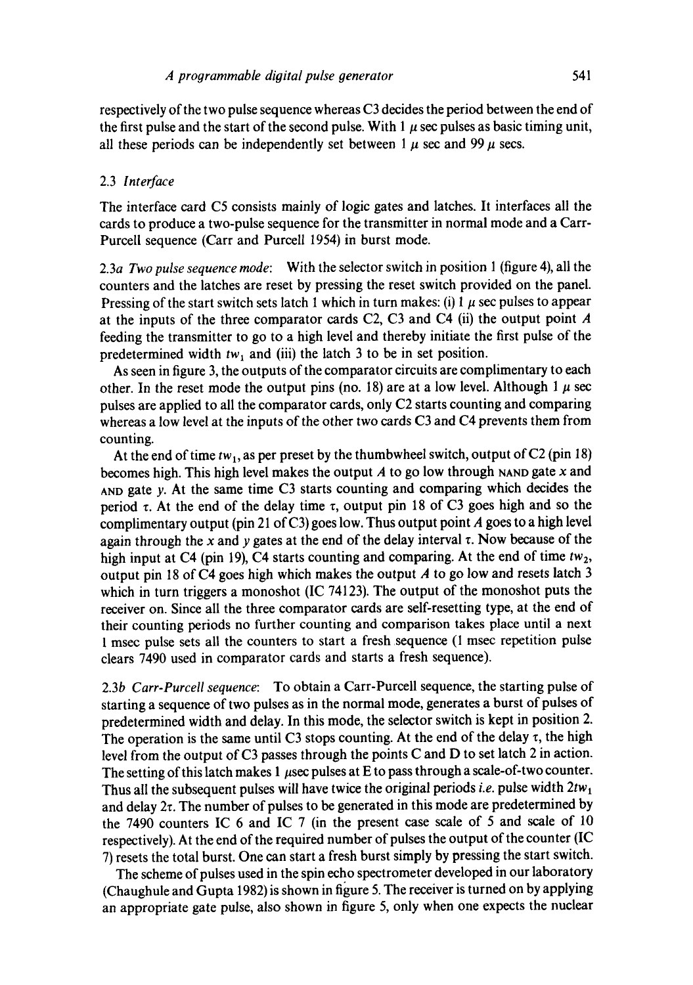respectively of the two pulse sequence whereas C3 decides the period between the end of the first pulse and the start of the second pulse. With 1  $\mu$  sec pulses as basic timing unit, all these periods can be independently set between  $1 \mu$  sec and 99  $\mu$  secs.

#### 2.3 *Interface*

The interface card C5 consists mainly of logic gates and latches. It interfaces all the cards to produce a two-pulse sequence for the transmitter in normal mode and a Carr-Purcell sequence (Carr and Purcell 1954) in burst mode.

2.3a *Two pulse sequence mode:* With the selector switch in position 1 (figure 4), all the counters and the latches are reset by pressing the reset switch provided on the panel. Pressing of the start switch sets latch 1 which in turn makes: (i) 1  $\mu$  sec pulses to appear at the inputs of the three comparator cards C2, C3 and C4 (ii) the output point  $A$ feeding the transmitter to go to a high level and thereby initiate the first pulse of the predetermined width  $tw_1$  and (iii) the latch 3 to be in set position.

As seen in figure 3, the outputs of the comparator circuits are complimentary to each other. In the reset mode the output pins (no. 18) are at a low level. Although 1  $\mu$  sec pulses are applied to all the comparator cards, only C2 starts counting and comparing whereas a low level at the inputs of the other two cards C3 and C4 prevents them from counting.

At the end of time  $tw_1$ , as per preset by the thumbwheel switch, output of C2 (pin 18) becomes high. This high level makes the output  $A$  to go low through NAND gate  $x$  and AND gate y. At the same time C3 starts counting and comparing which decides the period  $\tau$ . At the end of the delay time  $\tau$ , output pin 18 of C3 goes high and so the complimentary output (pin 21 of C3) goes low. Thus output point A goes to a high level again through the x and y gates at the end of the delay interval  $\tau$ . Now because of the high input at C4 (pin 19), C4 starts counting and comparing. At the end of time  $tw_2$ , output pin 18 of C4 goes high which makes the output  $A$  to go low and resets latch 3 which in turn triggers a monoshot (IC 74123). The output of the monoshot puts the receiver on. Since all the three comparator cards are self-resetting type, at the end of their counting periods no further counting and comparison takes place until a next 1 msec pulse sets all the counters to start a fresh sequence (I msec repetition pulse clears 7490 used in comparator cards and starts a fresh sequence).

2.3b *Carr-Purcell sequence:* To obtain a Carr-Purcell sequence, the starting pulse of starting a sequence of two pulses as in the normal mode, generates a burst of pulses of predetermined width and delay. In this mode, the selector switch is kept in position 2. The operation is the same until C3 stops counting. At the end of the delay  $\tau$ , the high level from the output of C3 passes through the points C and D to set latch 2 in action. The setting of this latch makes 1  $\mu$ sec pulses at E to pass through a scale-of-two counter. Thus all the subsequent pulses will have twice the original periods *i.e.* pulse width  $2tw_1$ and delay  $2\tau$ . The number of pulses to be generated in this mode are predetermined by the 7490 counters IC 6 and IC 7 (in the present case scale of 5 and scale of 10 respectively). At the end of the required number of pulses the output of the counter (IC 7) resets the total burst. One can start a fresh burst simply by pressing the start switch.

The scheme of pulses used in the spin echo spectrometer developed in our laboratory (Chaughule and Gupta 1982) is shown in figure 5. The receiver is turned on by applying an appropriate gate pulse, also shown in figure 5, only when one expects the nuclear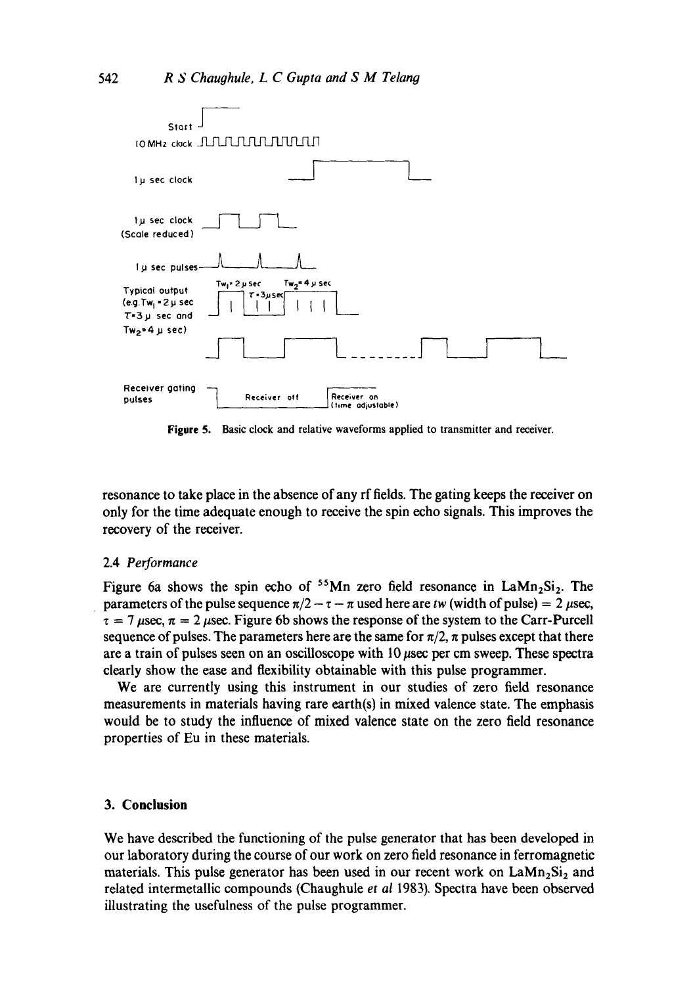

**Figure** 5. Basic clock and relative waveforms applied to transmitter and receiver.

resonance to take place in the absence of any rf fields. The gating keeps the receiver on only for the time adequate enough to receive the spin echo signals. This improves the recovery of the receiver.

#### 2.4 *Performance*

Figure 6a shows the spin echo of  $55$ Mn zero field resonance in LaMn<sub>2</sub>Si<sub>2</sub>. The parameters of the pulse sequence  $\pi/2 - \tau - \pi$  used here are *tw* (width of pulse) = 2  $\mu$ sec,  $\tau = 7 \mu$ sec,  $\pi = 2 \mu$ sec. Figure 6b shows the response of the system to the Carr-Purcell sequence of pulses. The parameters here are the same for  $\pi/2$ ,  $\pi$  pulses except that there are a train of pulses seen on an oscilloscope with  $10 \mu$ sec per cm sweep. These spectra clearly show the ease and flexibility obtainable with this pulse programmer.

We are currently using this instrument in our studies of zero field resonance measurements in materials having rare earth(s) in mixed valence state. The emphasis would be to study the influence of mixed valence state on the zero field resonance properties of Eu in these materials.

#### **3. Conclusion**

We have described the functioning of the pulse generator that has been developed in our laboratory during the course of our work on zero field resonance in ferromagnetic materials. This pulse generator has been used in our recent work on  $\text{Lam}_2\text{Si}_2$  and related intermetallic compounds (Chaughule *et al* 1983). Spectra have been observed illustrating the usefulness of the pulse programmer.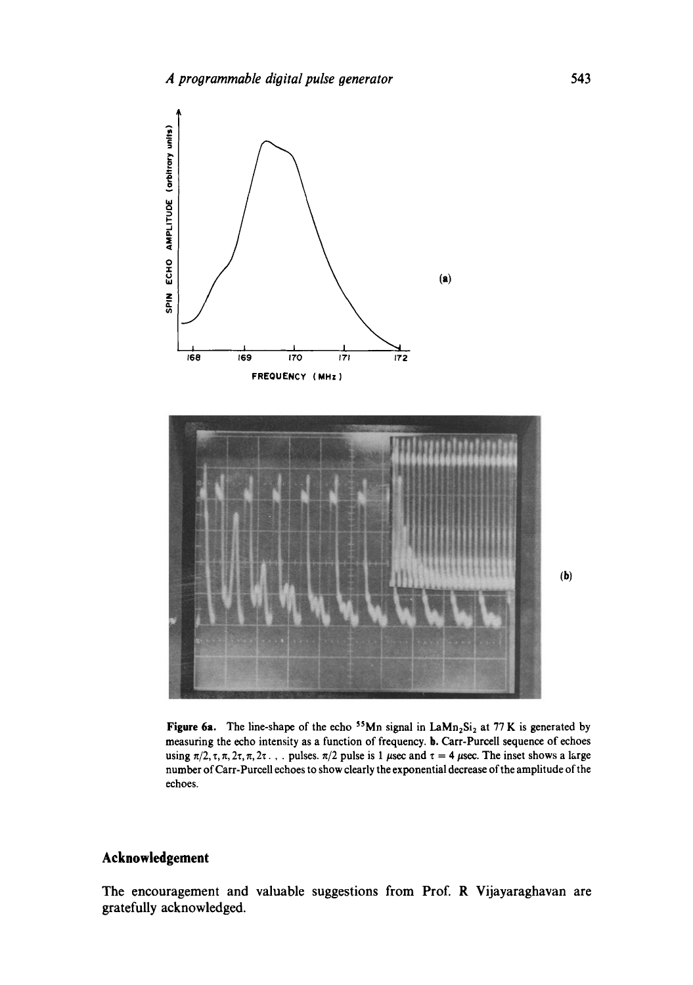

Figure 6a. The line-shape of the echo <sup>55</sup>Mn signal in  $\text{LAMn}_2\text{Si}_2$  at 77 K is generated by measuring the echo intensity as a function of frequency, b. Carr-Purcell sequence of echoes using  $\pi/2$ ,  $\tau$ ,  $\pi$ ,  $2\tau$ ,  $\pi$ ,  $2\tau$ ... pulses.  $\pi/2$  pulse is 1  $\mu$ sec and  $\tau = 4 \mu$ sec. The inset shows a large number of Carr-Purcell echoes to show clearly the exponential decrease of the amplitude of the echoes.

# **Acknowledgement**

The encouragement and valuable suggestions from Prof. R Vijayaraghavan are gratefully acknowledged.